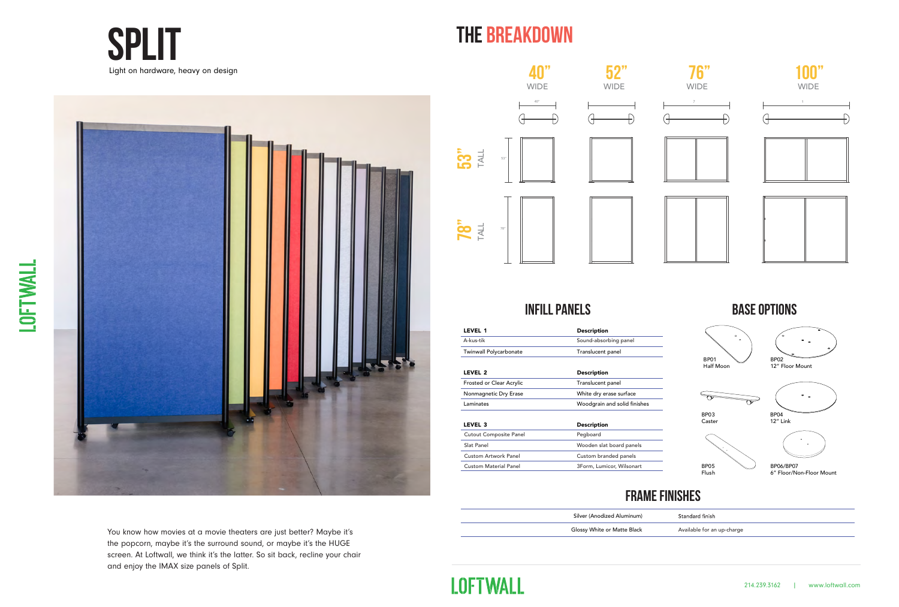You know how movies at a movie theaters are just better? Maybe it's the popcorn, maybe it's the surround sound, or maybe it's the HUGE screen. At Loftwall, we think it's the latter. So sit back, recline your chair and enjoy the IMAX size panels of Split.



LOFTWALL



### **Frame finishes**

### **base options**



BP03 Caster



BP04 12" Link



BP06/BP07 6" Floor/Non-Floor Mount

dard finish

able for an up-charge





| Silver (Anodized Aluminum)  | Stanc |
|-----------------------------|-------|
| Glossy White or Matte Black | Avail |



Custom Material Panel 3Form, Lumicor, Wilsonart

**LOFTWALL** 



### **The Breakdown**